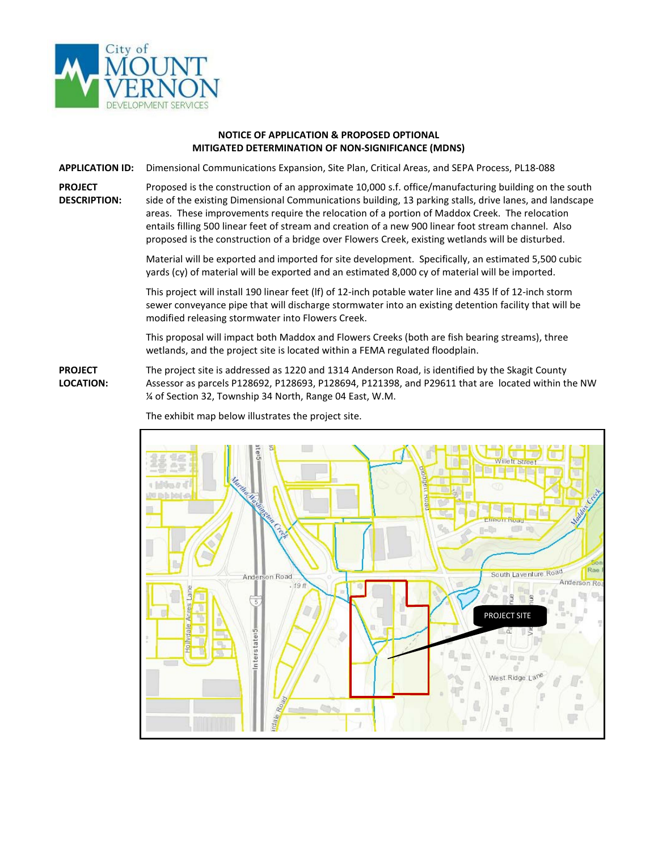

## **NOTICE OF APPLICATION & PROPOSED OPTIONAL MITIGATED DETERMINATION OF NON-SIGNIFICANCE (MDNS)**

**APPLICATION ID:** Dimensional Communications Expansion, Site Plan, Critical Areas, and SEPA Process, PL18-088

**PROJECT DESCRIPTION:** Proposed is the construction of an approximate 10,000 s.f. office/manufacturing building on the south side of the existing Dimensional Communications building, 13 parking stalls, drive lanes, and landscape areas. These improvements require the relocation of a portion of Maddox Creek. The relocation entails filling 500 linear feet of stream and creation of a new 900 linear foot stream channel. Also proposed is the construction of a bridge over Flowers Creek, existing wetlands will be disturbed.

> Material will be exported and imported for site development. Specifically, an estimated 5,500 cubic yards (cy) of material will be exported and an estimated 8,000 cy of material will be imported.

> This project will install 190 linear feet (lf) of 12-inch potable water line and 435 lf of 12-inch storm sewer conveyance pipe that will discharge stormwater into an existing detention facility that will be modified releasing stormwater into Flowers Creek.

This proposal will impact both Maddox and Flowers Creeks (both are fish bearing streams), three wetlands, and the project site is located within a FEMA regulated floodplain.

**PROJECT LOCATION:** The project site is addressed as 1220 and 1314 Anderson Road, is identified by the Skagit County Assessor as parcels P128692, P128693, P128694, P121398, and P29611 that are located within the NW ¼ of Section 32, Township 34 North, Range 04 East, W.M.



The exhibit map below illustrates the project site.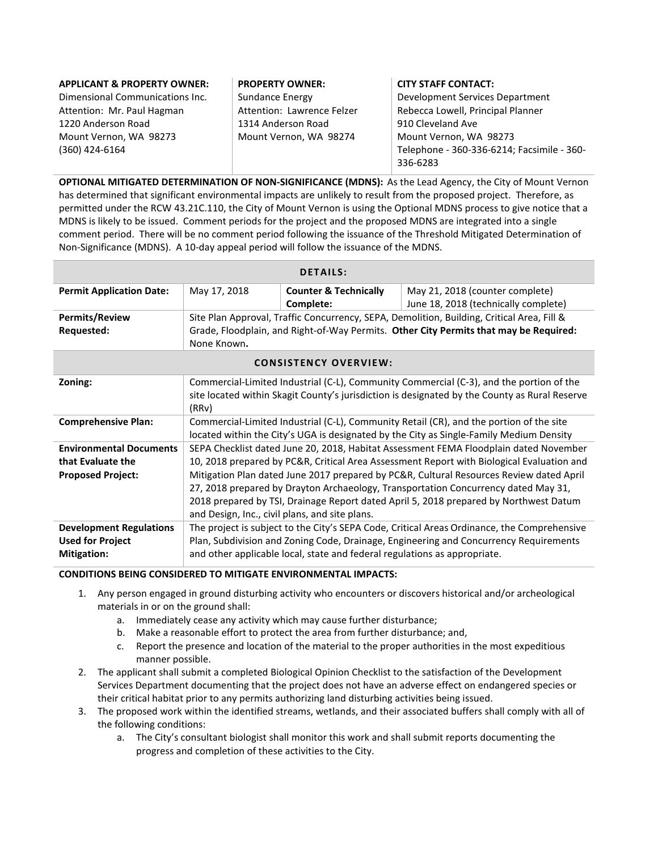| <b>APPLICANT &amp; PROPERTY OWNER:</b> | <b>PROPERTY OWNER:</b>     | <b>CITY STAFF CONTACT:</b>                 |
|----------------------------------------|----------------------------|--------------------------------------------|
| Dimensional Communications Inc.        | Sundance Energy            | Development Services Department            |
| Attention: Mr. Paul Hagman             | Attention: Lawrence Felzer | Rebecca Lowell, Principal Planner          |
| 1220 Anderson Road                     | 1314 Anderson Road         | 910 Cleveland Ave                          |
| Mount Vernon, WA 98273                 | Mount Vernon, WA 98274     | Mount Vernon, WA 98273                     |
| (360) 424-6164                         |                            | Telephone - 360-336-6214; Facsimile - 360- |
|                                        |                            | 336-6283                                   |

**OPTIONAL MITIGATED DETERMINATION OF NON-SIGNIFICANCE (MDNS):** As the Lead Agency, the City of Mount Vernon has determined that significant environmental impacts are unlikely to result from the proposed project. Therefore, as permitted under the RCW 43.21C.110, the City of Mount Vernon is using the Optional MDNS process to give notice that a MDNS is likely to be issued. Comment periods for the project and the proposed MDNS are integrated into a single comment period. There will be no comment period following the issuance of the Threshold Mitigated Determination of Non-Significance (MDNS). A 10-day appeal period will follow the issuance of the MDNS.

| <b>DETAILS:</b>                 |                                                                                            |                                  |                                      |  |
|---------------------------------|--------------------------------------------------------------------------------------------|----------------------------------|--------------------------------------|--|
| <b>Permit Application Date:</b> | May 17, 2018                                                                               | <b>Counter &amp; Technically</b> | May 21, 2018 (counter complete)      |  |
|                                 |                                                                                            | Complete:                        | June 18, 2018 (technically complete) |  |
| <b>Permits/Review</b>           | Site Plan Approval, Traffic Concurrency, SEPA, Demolition, Building, Critical Area, Fill & |                                  |                                      |  |
| Requested:                      | Grade, Floodplain, and Right-of-Way Permits. Other City Permits that may be Required:      |                                  |                                      |  |
|                                 | None Known.                                                                                |                                  |                                      |  |

| <b>CONSISTENCY OVERVIEW:</b>                                                    |                                                                                                                                                                                                                                                                                                                                                                                                                                                                                                                |  |
|---------------------------------------------------------------------------------|----------------------------------------------------------------------------------------------------------------------------------------------------------------------------------------------------------------------------------------------------------------------------------------------------------------------------------------------------------------------------------------------------------------------------------------------------------------------------------------------------------------|--|
| Zoning:                                                                         | Commercial-Limited Industrial (C-L), Community Commercial (C-3), and the portion of the<br>site located within Skagit County's jurisdiction is designated by the County as Rural Reserve<br>(RRv)                                                                                                                                                                                                                                                                                                              |  |
| <b>Comprehensive Plan:</b>                                                      | Commercial-Limited Industrial (C-L), Community Retail (CR), and the portion of the site<br>located within the City's UGA is designated by the City as Single-Family Medium Density                                                                                                                                                                                                                                                                                                                             |  |
| <b>Environmental Documents</b><br>that Evaluate the<br><b>Proposed Project:</b> | SEPA Checklist dated June 20, 2018, Habitat Assessment FEMA Floodplain dated November<br>10, 2018 prepared by PC&R, Critical Area Assessment Report with Biological Evaluation and<br>Mitigation Plan dated June 2017 prepared by PC&R, Cultural Resources Review dated April<br>27, 2018 prepared by Drayton Archaeology, Transportation Concurrency dated May 31,<br>2018 prepared by TSI, Drainage Report dated April 5, 2018 prepared by Northwest Datum<br>and Design, Inc., civil plans, and site plans. |  |
| <b>Development Regulations</b><br><b>Used for Project</b><br><b>Mitigation:</b> | The project is subject to the City's SEPA Code, Critical Areas Ordinance, the Comprehensive<br>Plan, Subdivision and Zoning Code, Drainage, Engineering and Concurrency Requirements<br>and other applicable local, state and federal regulations as appropriate.                                                                                                                                                                                                                                              |  |

## **CONDITIONS BEING CONSIDERED TO MITIGATE ENVIRONMENTAL IMPACTS:**

- 1. Any person engaged in ground disturbing activity who encounters or discovers historical and/or archeological materials in or on the ground shall:
	- a. Immediately cease any activity which may cause further disturbance;
	- b. Make a reasonable effort to protect the area from further disturbance; and,
	- c. Report the presence and location of the material to the proper authorities in the most expeditious manner possible.
- 2. The applicant shall submit a completed Biological Opinion Checklist to the satisfaction of the Development Services Department documenting that the project does not have an adverse effect on endangered species or their critical habitat prior to any permits authorizing land disturbing activities being issued.
- 3. The proposed work within the identified streams, wetlands, and their associated buffers shall comply with all of the following conditions:
	- a. The City's consultant biologist shall monitor this work and shall submit reports documenting the progress and completion of these activities to the City.